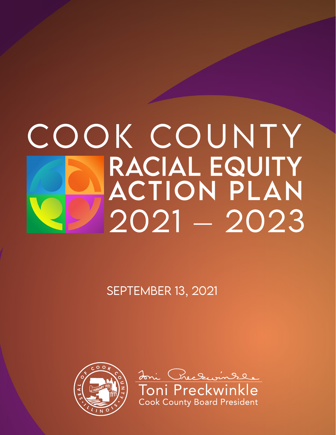# COOK COUNTY<br>RACIAL EQUITY **ACTION PLAN**  $2021 - 2023$

September 13, 2021



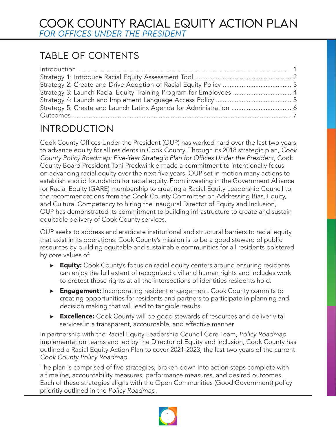# TABLE OF CONTENTS

| Strategy 3: Launch Racial Equity Training Program for Employees  4 |  |
|--------------------------------------------------------------------|--|
|                                                                    |  |
|                                                                    |  |
|                                                                    |  |

# INTRODUCTION

Cook County Offices Under the President (OUP) has worked hard over the last two years to advance equity for all residents in Cook County. Through its 2018 strategic plan, *Cook*  County Policy Roadmap: Five-Year Strategic Plan for Offices Under the President, Cook County Board President Toni Preckwinkle made a commitment to intentionally focus on advancing racial equity over the next five years. OUP set in motion many actions to establish a solid foundation for racial equity. From investing in the Government Alliance for Racial Equity (GARE) membership to creating a Racial Equity Leadership Council to the recommendations from the Cook County Committee on Addressing Bias, Equity, and Cultural Competency to hiring the inaugural Director of Equity and Inclusion, OUP has demonstrated its commitment to building infrastructure to create and sustain equitable delivery of Cook County services.

OUP seeks to address and eradicate institutional and structural barriers to racial equity that exist in its operations. Cook County's mission is to be a good steward of public resources by building equitable and sustainable communities for all residents bolstered by core values of:

- ▶ Equity: Cook County's focus on racial equity centers around ensuring residents can enjoy the full extent of recognized civil and human rights and includes work to protect those rights at all the intersections of identities residents hold.
- ▶ Engagement: Incorporating resident engagement, Cook County commits to creating opportunities for residents and partners to participate in planning and decision making that will lead to tangible results.
- ▶ Excellence: Cook County will be good stewards of resources and deliver vital services in a transparent, accountable, and effective manner.

In partnership with the Racial Equity Leadership Council Core Team, *Policy Roadmap* implementation teams and led by the Director of Equity and Inclusion, Cook County has outlined a Racial Equity Action Plan to cover 2021-2023, the last two years of the current *Cook County Policy Roadmap*.

The plan is comprised of five strategies, broken down into action steps complete with a timeline, accountability measures, performance measures, and desired outcomes. Each of these strategies aligns with the Open Communities (Good Government) policy prioritiy outlined in the *Policy Roadmap*.

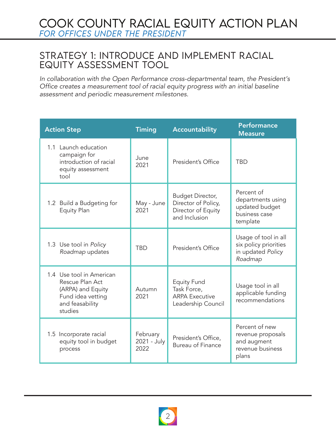## StRATEGY 1: INTRODUCE AND IMPLEMENT RACIAL EQUITY ASSESSMENT TOOL

*In collaboration with the Open Performance cross-departmental team, the President's*  Office creates a measurement tool of racial equity progress with an initial baseline assessment and periodic measurement milestones.

| <b>Action Step</b>                                                                                                  | <b>Timing</b>                   | <b>Accountability</b>                                                            | <b>Performance</b><br><b>Measure</b>                                            |
|---------------------------------------------------------------------------------------------------------------------|---------------------------------|----------------------------------------------------------------------------------|---------------------------------------------------------------------------------|
| 1.1 Launch education<br>campaign for<br>introduction of racial<br>equity assessment<br>tool                         | June<br>2021                    | President's Office                                                               | <b>TBD</b>                                                                      |
| 1.2 Build a Budgeting for<br><b>Equity Plan</b>                                                                     | May - June<br>2021              | Budget Director,<br>Director of Policy,<br>Director of Equity<br>and Inclusion   | Percent of<br>departments using<br>updated budget<br>business case<br>template  |
| 1.3 Use tool in Policy<br>Roadmap updates                                                                           | <b>TBD</b>                      | President's Office                                                               | Usage of tool in all<br>six policy priorities<br>in updated Policy<br>Roadmap   |
| 1.4 Use tool in American<br>Rescue Plan Act<br>(ARPA) and Equity<br>Fund idea vetting<br>and feasability<br>studies | Autumn<br>2021                  | <b>Equity Fund</b><br>Task Force,<br><b>ARPA Executive</b><br>Leadership Council | Usage tool in all<br>applicable funding<br>recommendations                      |
| 1.5 Incorporate racial<br>equity tool in budget<br>process                                                          | February<br>2021 - July<br>2022 | President's Office,<br><b>Bureau of Finance</b>                                  | Percent of new<br>revenue proposals<br>and augment<br>revenue business<br>plans |

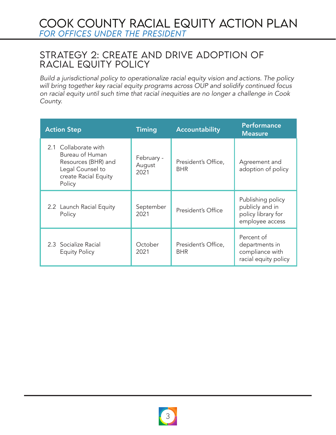## StRATEGY 2: CREATE AND DRIVE ADOPTION OF RACIAL EQUITY POLICY

Build a jurisdictional policy to operationalize racial equity vision and actions. The policy will bring together key racial equity programs across OUP and solidify continued focus on racial equity until such time that racial inequities are no longer a challenge in Cook County.

| <b>Action Step</b>                                                                                                   | <b>Timing</b>                | <b>Accountability</b>             | <b>Performance</b><br><b>Measure</b>                                          |
|----------------------------------------------------------------------------------------------------------------------|------------------------------|-----------------------------------|-------------------------------------------------------------------------------|
| 2.1 Collaborate with<br>Bureau of Human<br>Resources (BHR) and<br>Legal Counsel to<br>create Racial Equity<br>Policy | February -<br>August<br>2021 | President's Office,<br><b>BHR</b> | Agreement and<br>adoption of policy                                           |
| 2.2 Launch Racial Equity<br>Policy                                                                                   | September<br>2021            | President's Office                | Publishing policy<br>publicly and in<br>policy library for<br>employee access |
| 2.3 Socialize Racial<br><b>Equity Policy</b>                                                                         | October<br>2021              | President's Office,<br><b>BHR</b> | Percent of<br>departments in<br>compliance with<br>racial equity policy       |

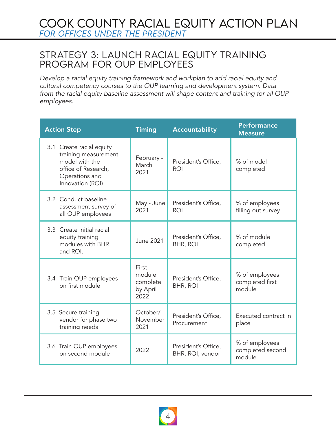# COOK COUNTY RACIAL EQUITY ACTION PLAN *for OFFICES UNDER THE PRESIDENT*

## StRATEGY 3: LAUNCH RACIAL EQUITY TRAINING PROGRAM FOR OUP EMPLOYEES

Develop a racial equity training framework and workplan to add racial equity and cultural competency courses to the OUP learning and development system. Data from the racial equity baseline assessment will shape content and training for all OUP employees.

| <b>Action Step</b>                                                                                                              | <b>Timing</b>                                   | <b>Accountability</b>                   | <b>Performance</b><br><b>Measure</b>         |
|---------------------------------------------------------------------------------------------------------------------------------|-------------------------------------------------|-----------------------------------------|----------------------------------------------|
| 3.1 Create racial equity<br>training measurement<br>model with the<br>office of Research,<br>Operations and<br>Innovation (ROI) | February -<br>March<br>2021                     | President's Office,<br><b>ROI</b>       | % of model<br>completed                      |
| 3.2 Conduct baseline<br>assessment survey of<br>all OUP employees                                                               | May - June<br>2021                              | President's Office,<br><b>ROI</b>       | % of employees<br>filling out survey         |
| 3.3 Create initial racial<br>equity training<br>modules with BHR<br>and ROI.                                                    | <b>June 2021</b>                                | President's Office,<br><b>BHR, ROI</b>  | % of module<br>completed                     |
| 3.4 Train OUP employees<br>on first module                                                                                      | First<br>module<br>complete<br>by April<br>2022 | President's Office,<br><b>BHR, ROI</b>  | % of employees<br>completed first<br>module  |
| 3.5 Secure training<br>vendor for phase two<br>training needs                                                                   | October/<br>November<br>2021                    | President's Office,<br>Procurement      | Executed contract in<br>place                |
| 3.6 Train OUP employees<br>on second module                                                                                     | 2022                                            | President's Office,<br>BHR, ROI, vendor | % of employees<br>completed second<br>module |

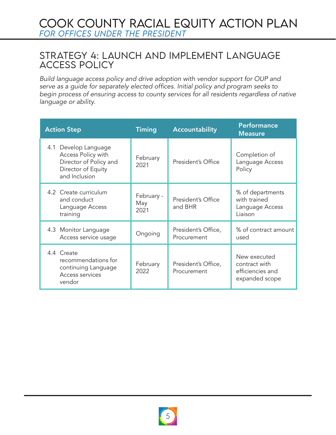# COOK COUNTY RACIAL EQUITY ACTION PLAN *for OFFICES UNDER THE PRESIDENT*

## StRATEGY 4: LAUNCH AND IMPLEMENT LANGUAGE ACCESS POLICY

Build language access policy and drive adoption with vendor support for OUP and serve as a guide for separately elected offices. Initial policy and program seeks to begin process of ensuring access to county services for all residents regardless of native language or ability.

| <b>Action Step</b>                                                                                          | <b>Timing</b>             | <b>Accountability</b>              | <b>Performance</b><br><b>Measure</b>                                |
|-------------------------------------------------------------------------------------------------------------|---------------------------|------------------------------------|---------------------------------------------------------------------|
| 4.1 Develop Language<br>Access Policy with<br>Director of Policy and<br>Director of Equity<br>and Inclusion | February<br>2021          | President's Office                 | Completion of<br>Language Access<br>Policy                          |
| 4.2 Create curriculum<br>and conduct<br>Language Access<br>training                                         | February -<br>May<br>2021 | President's Office<br>and BHR      | % of departments<br>with trained<br>Language Access<br>Liaison      |
| 4.3 Monitor Language<br>Access service usage                                                                | Ongoing                   | President's Office,<br>Procurement | % of contract amount<br>used                                        |
| 4.4 Create<br>recommendations for<br>continuing Language<br>Access services<br>vendor                       | February<br>2022          | President's Office,<br>Procurement | New executed<br>contract with<br>efficiencies and<br>expanded scope |

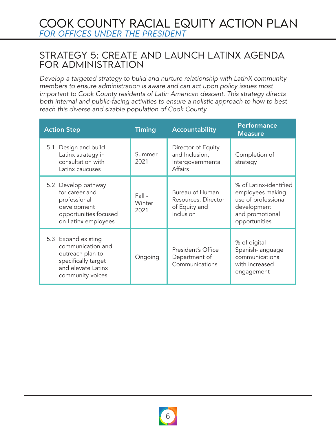## StRATEGY 5: CREATE AND LAUNCH LATINX AGENDA FOR ADMINISTRATION

Develop a targeted strategy to build and nurture relationship with LatinX community members to ensure administration is aware and can act upon policy issues most important to Cook County residents of Latin American descent. This strategy directs both internal and public-facing activities to ensure a holistic approach to how to best reach this diverse and sizable population of Cook County.

| <b>Action Step</b>                                                                                                            | <b>Timing</b>            | Accountability                                                              | <b>Performance</b><br><b>Measure</b>                                                                                 |
|-------------------------------------------------------------------------------------------------------------------------------|--------------------------|-----------------------------------------------------------------------------|----------------------------------------------------------------------------------------------------------------------|
| Design and build<br>5.1<br>Latinx strategy in<br>consultation with<br>Latinx caucuses                                         | Summer<br>2021           | Director of Equity<br>and Inclusion,<br>Intergovernmental<br><b>Affairs</b> | Completion of<br>strategy                                                                                            |
| 5.2 Develop pathway<br>for career and<br>professional<br>development<br>opportunities focused<br>on Latinx employees          | Fall -<br>Winter<br>2021 | Bureau of Human<br>Resources, Director<br>of Equity and<br>Inclusion        | % of Latinx-identified<br>employees making<br>use of professional<br>development<br>and promotional<br>opportunities |
| 5.3 Expand existing<br>communication and<br>outreach plan to<br>specifically target<br>and elevate Latinx<br>community voices | Ongoing                  | President's Office<br>Department of<br>Communications                       | % of digital<br>Spanish-language<br>communications<br>with increased<br>engagement                                   |

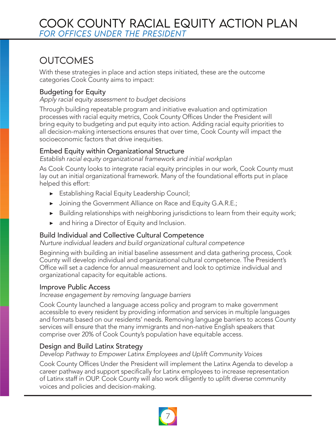# OUTCOMES

With these strategies in place and action steps initiated, these are the outcome categories Cook County aims to impact:

#### Budgeting for Equity

Apply racial equity assessment to budget decisions

Through building repeatable program and initiative evaluation and optimization processes with racial equity metrics, Cook County Offices Under the President will bring equity to budgeting and put equity into action. Adding racial equity priorities to all decision-making intersections ensures that over time, Cook County will impact the socioeconomic factors that drive inequities.

#### Embed Equity within Organizational Structure

Establish racial equity organizational framework and initial workplan

As Cook County looks to integrate racial equity principles in our work, Cook County must lay out an initial organizational framework. Many of the foundational efforts put in place helped this effort:

- ▶ Establishing Racial Equity Leadership Council;
- ▶ Joining the Government Alliance on Race and Equity G.A.R.E.;
- ▶ Building relationships with neighboring jurisdictions to learn from their equity work;
- ▶ and hiring a Director of Equity and Inclusion.

#### Build Individual and Collective Cultural Competence

Nurture individual leaders and build organizational cultural competence

Beginning with building an initial baseline assessment and data gathering process, Cook County will develop individual and organizational cultural competence. The President's Office will set a cadence for annual measurement and look to optimize individual and organizational capacity for equitable actions.

#### Improve Public Access

Increase engagement by removing language barriers

Cook County launched a language access policy and program to make government accessible to every resident by providing information and services in multiple languages and formats based on our residents' needs. Removing language barriers to access County services will ensure that the many immigrants and non-native English speakers that comprise over 20% of Cook County's population have equitable access.

#### Design and Build Latinx Strategy

Develop Pathway to Empower Latinx Employees and Uplift Community Voices

Cook County Offices Under the President will implement the Latinx Agenda to develop a career pathway and support specifically for Latinx employees to increase representation of Latinx staff in OUP. Cook County will also work diligently to uplift diverse community voices and policies and decision-making.